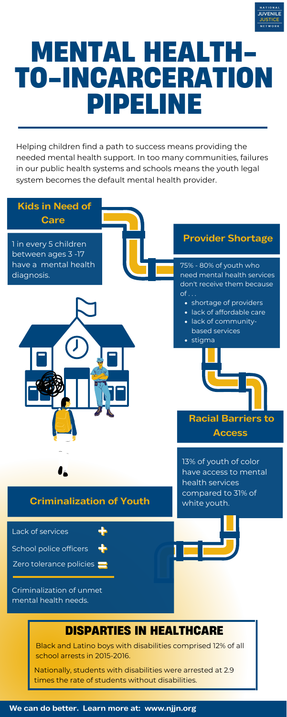

# **MENTAL HEALTH-TO-INCARCERATION PIPELINE**

#### **Access**

## **Criminalization of Youth**

School police officers

#### **We can do better. Learn more at: www.njjn.org**



Helping children find a path to success means providing the needed mental health support. In too many communities, failures in our public health systems and schools means the youth legal system becomes the default mental health provider.

> 13% of youth of color have access to mental health services compared to 31% of white youth.

Lack of services

Nationally, students with disabilities were arrested at 2.9 times the rate of students without disabilities.

Black and Latino boys with disabilities comprised 12% of all school arrests in 2015-2016.

# **DISPARTIES IN HEALTHCARE**

Zero tolerance policies

Criminalization of unmet mental health needs.